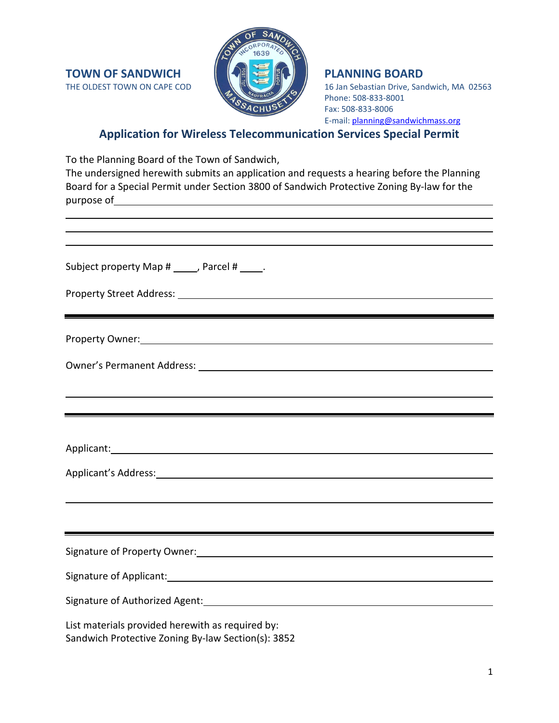

16 Jan Sebastian Drive, Sandwich, MA 02563 Phone: 508-833-8001 Fax: 508-833-8006 E-mail: [planning@sandwichmass.org](mailto:planning@sandwichmass.org)

## **Application for Wireless Telecommunication Services Special Permit**

To the Planning Board of the Town of Sandwich, The undersigned herewith submits an application and requests a hearing before the Planning Board for a Special Permit under Section 3800 of Sandwich Protective Zoning By-law for the purpose of

| <u> 1989 - Andrea Andrew Maria (h. 1989).</u>                                                                                                                                                                                  |  |  |  |
|--------------------------------------------------------------------------------------------------------------------------------------------------------------------------------------------------------------------------------|--|--|--|
| ,我们也不会有什么。""我们的人,我们也不会有什么?""我们的人,我们也不会有什么?""我们的人,我们也不会有什么?""我们的人,我们也不会有什么?""我们的人                                                                                                                                               |  |  |  |
| Subject property Map # _____, Parcel # _____.                                                                                                                                                                                  |  |  |  |
| Property Street Address: National Address: National Address: National Address: National Address: National Addr                                                                                                                 |  |  |  |
| Property Owner: New York Contract of the Contract of the Contract of the Contract of the Contract of the Contract of the Contract of the Contract of the Contract of the Contract of the Contract of the Contract of the Contr |  |  |  |
|                                                                                                                                                                                                                                |  |  |  |
| <u> 1989 - Andrea Andrew Maria (h. 1989).</u>                                                                                                                                                                                  |  |  |  |
|                                                                                                                                                                                                                                |  |  |  |
| Applicant: Applicant:                                                                                                                                                                                                          |  |  |  |
| Applicant's Address: 1999 Manual Communication of the Applicant of Address:                                                                                                                                                    |  |  |  |
|                                                                                                                                                                                                                                |  |  |  |
|                                                                                                                                                                                                                                |  |  |  |
|                                                                                                                                                                                                                                |  |  |  |
|                                                                                                                                                                                                                                |  |  |  |
|                                                                                                                                                                                                                                |  |  |  |
| List materials provided herewith as required by:<br>Sandwich Protective Zoning By-law Section(s): 3852                                                                                                                         |  |  |  |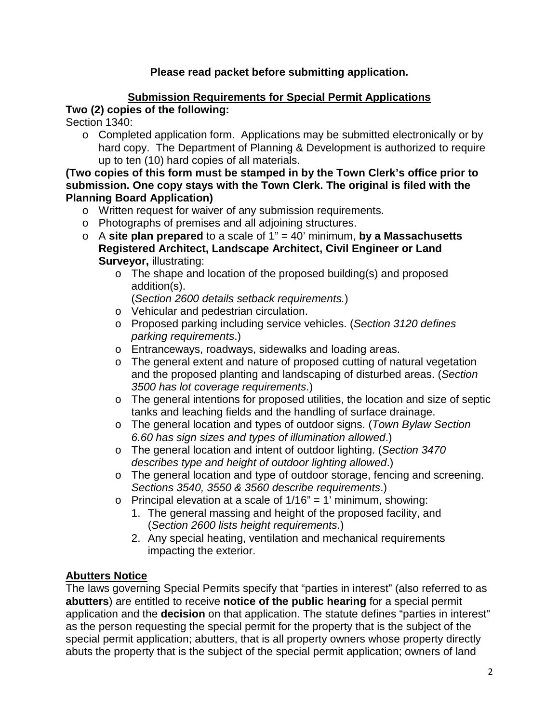## **Please read packet before submitting application.**

# **Submission Requirements for Special Permit Applications**

## **Two (2) copies of the following:**

Section 1340:

o Completed application form. Applications may be submitted electronically or by hard copy. The Department of Planning & Development is authorized to require up to ten (10) hard copies of all materials.

**(Two copies of this form must be stamped in by the Town Clerk's office prior to submission. One copy stays with the Town Clerk. The original is filed with the Planning Board Application)**

- o Written request for waiver of any submission requirements.
- o Photographs of premises and all adjoining structures.
- o A **site plan prepared** to a scale of 1" = 40' minimum, **by a Massachusetts Registered Architect, Landscape Architect, Civil Engineer or Land Surveyor,** illustrating:
	- o The shape and location of the proposed building(s) and proposed addition(s).

(*Section 2600 details setback requirements.*)

- o Vehicular and pedestrian circulation.
- o Proposed parking including service vehicles. (*Section 3120 defines parking requirements*.)
- o Entranceways, roadways, sidewalks and loading areas.
- o The general extent and nature of proposed cutting of natural vegetation and the proposed planting and landscaping of disturbed areas. (*Section 3500 has lot coverage requirements*.)
- o The general intentions for proposed utilities, the location and size of septic tanks and leaching fields and the handling of surface drainage.
- o The general location and types of outdoor signs. (*Town Bylaw Section 6.60 has sign sizes and types of illumination allowed*.)
- o The general location and intent of outdoor lighting. (*Section 3470 describes type and height of outdoor lighting allowed*.)
- o The general location and type of outdoor storage, fencing and screening. *Sections 3540, 3550 & 3560 describe requirements*.)
- $\circ$  Principal elevation at a scale of 1/16" = 1' minimum, showing:
	- 1. The general massing and height of the proposed facility, and (*Section 2600 lists height requirements*.)
	- 2. Any special heating, ventilation and mechanical requirements impacting the exterior.

## **Abutters Notice**

The laws governing Special Permits specify that "parties in interest" (also referred to as **abutters**) are entitled to receive **notice of the public hearing** for a special permit application and the **decision** on that application. The statute defines "parties in interest" as the person requesting the special permit for the property that is the subject of the special permit application; abutters, that is all property owners whose property directly abuts the property that is the subject of the special permit application; owners of land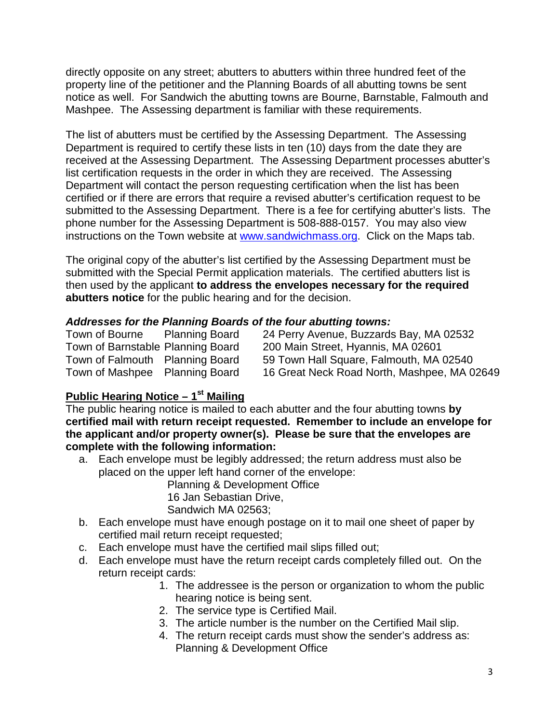directly opposite on any street; abutters to abutters within three hundred feet of the property line of the petitioner and the Planning Boards of all abutting towns be sent notice as well. For Sandwich the abutting towns are Bourne, Barnstable, Falmouth and Mashpee. The Assessing department is familiar with these requirements.

The list of abutters must be certified by the Assessing Department. The Assessing Department is required to certify these lists in ten (10) days from the date they are received at the Assessing Department. The Assessing Department processes abutter's list certification requests in the order in which they are received. The Assessing Department will contact the person requesting certification when the list has been certified or if there are errors that require a revised abutter's certification request to be submitted to the Assessing Department. There is a fee for certifying abutter's lists. The phone number for the Assessing Department is 508-888-0157. You may also view instructions on the Town website at [www.sandwichmass.org.](http://www.sandwichmass.org/) Click on the Maps tab.

The original copy of the abutter's list certified by the Assessing Department must be submitted with the Special Permit application materials. The certified abutters list is then used by the applicant **to address the envelopes necessary for the required abutters notice** for the public hearing and for the decision.

#### *Addresses for the Planning Boards of the four abutting towns:*

| Town of Bourne | <b>Planning Board</b>             | 24 Perry Avenue, Buzzards Bay, MA 02532     |
|----------------|-----------------------------------|---------------------------------------------|
|                | Town of Barnstable Planning Board | 200 Main Street, Hyannis, MA 02601          |
|                | Town of Falmouth Planning Board   | 59 Town Hall Square, Falmouth, MA 02540     |
|                | Town of Mashpee Planning Board    | 16 Great Neck Road North, Mashpee, MA 02649 |

#### **Public Hearing Notice – 1st Mailing**

The public hearing notice is mailed to each abutter and the four abutting towns **by certified mail with return receipt requested. Remember to include an envelope for the applicant and/or property owner(s). Please be sure that the envelopes are complete with the following information:**

a. Each envelope must be legibly addressed; the return address must also be placed on the upper left hand corner of the envelope:

Planning & Development Office

16 Jan Sebastian Drive,

Sandwich MA 02563;

- b. Each envelope must have enough postage on it to mail one sheet of paper by certified mail return receipt requested;
- c. Each envelope must have the certified mail slips filled out;
- d. Each envelope must have the return receipt cards completely filled out. On the return receipt cards:
	- 1. The addressee is the person or organization to whom the public hearing notice is being sent.
	- 2. The service type is Certified Mail.
	- 3. The article number is the number on the Certified Mail slip.
	- 4. The return receipt cards must show the sender's address as: Planning & Development Office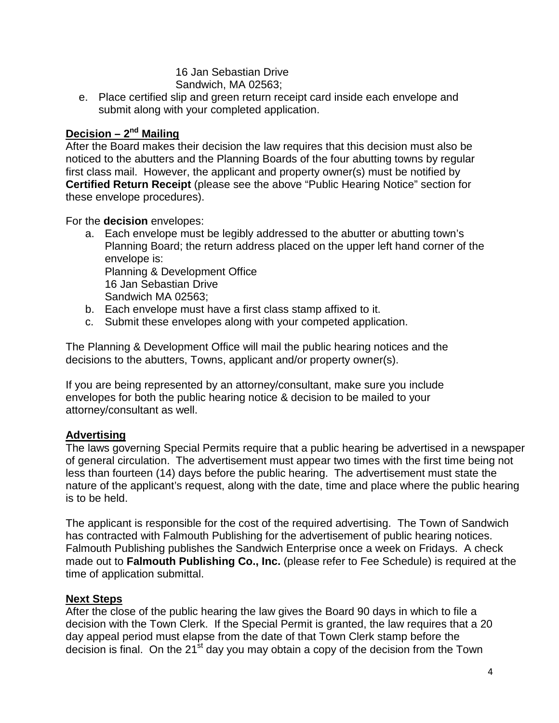16 Jan Sebastian Drive Sandwich, MA 02563;

e. Place certified slip and green return receipt card inside each envelope and submit along with your completed application.

## **Decision – 2nd Mailing**

After the Board makes their decision the law requires that this decision must also be noticed to the abutters and the Planning Boards of the four abutting towns by regular first class mail. However, the applicant and property owner(s) must be notified by **Certified Return Receipt** (please see the above "Public Hearing Notice" section for these envelope procedures).

For the **decision** envelopes:

- a. Each envelope must be legibly addressed to the abutter or abutting town's Planning Board; the return address placed on the upper left hand corner of the envelope is: Planning & Development Office 16 Jan Sebastian Drive Sandwich MA 02563;
- b. Each envelope must have a first class stamp affixed to it.
- c. Submit these envelopes along with your competed application.

The Planning & Development Office will mail the public hearing notices and the decisions to the abutters, Towns, applicant and/or property owner(s).

If you are being represented by an attorney/consultant, make sure you include envelopes for both the public hearing notice & decision to be mailed to your attorney/consultant as well.

## **Advertising**

The laws governing Special Permits require that a public hearing be advertised in a newspaper of general circulation. The advertisement must appear two times with the first time being not less than fourteen (14) days before the public hearing. The advertisement must state the nature of the applicant's request, along with the date, time and place where the public hearing is to be held.

The applicant is responsible for the cost of the required advertising. The Town of Sandwich has contracted with Falmouth Publishing for the advertisement of public hearing notices. Falmouth Publishing publishes the Sandwich Enterprise once a week on Fridays. A check made out to **Falmouth Publishing Co., Inc.** (please refer to Fee Schedule) is required at the time of application submittal.

## **Next Steps**

After the close of the public hearing the law gives the Board 90 days in which to file a decision with the Town Clerk. If the Special Permit is granted, the law requires that a 20 day appeal period must elapse from the date of that Town Clerk stamp before the decision is final. On the 21<sup>st</sup> day you may obtain a copy of the decision from the Town